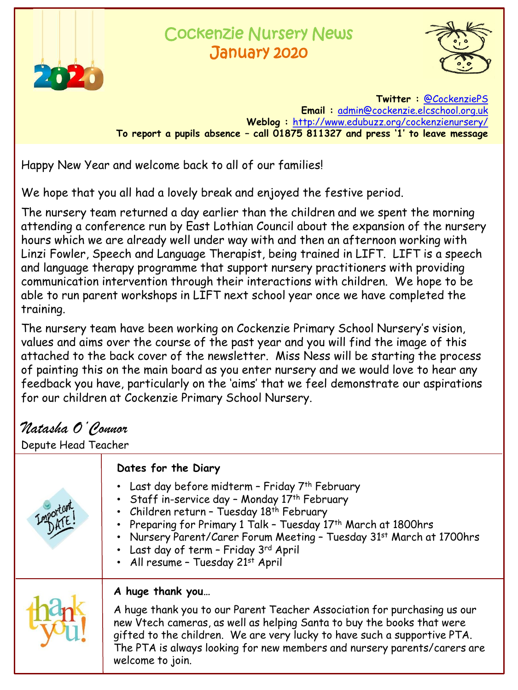

## Cockenzie Nursery News January 2020



**Twitter :** [@CockenziePS](https://twitter.com/CockenziePS) **Email :** [admin@cockenzie.elcschool.org.uk](mailto:admin@cockenzie.elcschool.org.uk) **Weblog :** [http://www.edubuzz.org/cockenzienursery/](http://www.edubuzz.org/cockenzie/) **To report a pupils absence – call 01875 811327 and press '1' to leave message**

Happy New Year and welcome back to all of our families!

We hope that you all had a lovely break and enjoyed the festive period.

The nursery team returned a day earlier than the children and we spent the morning attending a conference run by East Lothian Council about the expansion of the nursery hours which we are already well under way with and then an afternoon working with Linzi Fowler, Speech and Language Therapist, being trained in LIFT. LIFT is a speech and language therapy programme that support nursery practitioners with providing communication intervention through their interactions with children. We hope to be able to run parent workshops in LIFT next school year once we have completed the training.

The nursery team have been working on Cockenzie Primary School Nursery's vision, values and aims over the course of the past year and you will find the image of this attached to the back cover of the newsletter. Miss Ness will be starting the process of painting this on the main board as you enter nursery and we would love to hear any feedback you have, particularly on the 'aims' that we feel demonstrate our aspirations for our children at Cockenzie Primary School Nursery.

## *Natasha O'Connor*

Depute Head Teacher

|                       | Dates for the Diary                                                                                                                                                                                                                                                                                                                                                               |
|-----------------------|-----------------------------------------------------------------------------------------------------------------------------------------------------------------------------------------------------------------------------------------------------------------------------------------------------------------------------------------------------------------------------------|
| <i><b>nportar</b></i> | • Last day before midterm - Friday 7th February<br>• Staff in-service day - Monday 17th February<br>• Children return - Tuesday 18th February<br>• Preparing for Primary 1 Talk - Tuesday 17 <sup>th</sup> March at 1800hrs<br>• Nursery Parent/Carer Forum Meeting - Tuesday 31st March at 1700hrs<br>• Last day of term - Friday 3rd April<br>• All resume - Tuesday 21st April |
|                       | A huge thank you<br>A huge thank you to our Parent Teacher Association for purchasing us our<br>new Vtech cameras, as well as helping Santa to buy the books that were<br>gifted to the children. We are very lucky to have such a supportive PTA.<br>The PTA is always looking for new members and nursery parents/carers are<br>welcome to join.                                |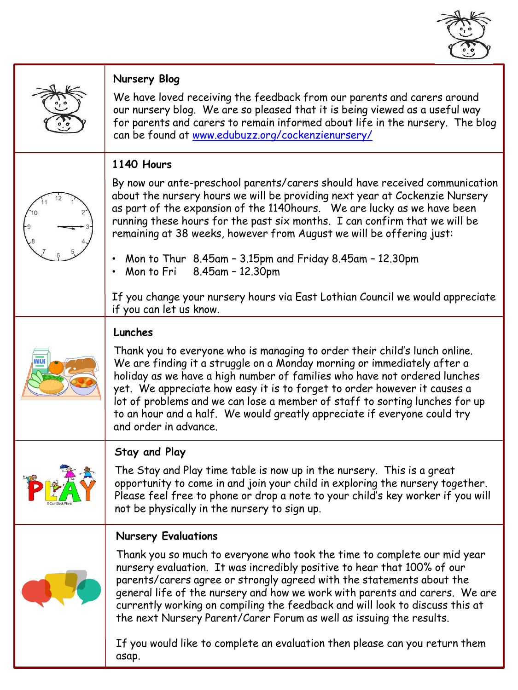

|                 | <b>Nursery Blog</b>                                                                                                                                                                                                                                                                                                                                                                                                                                                                                |
|-----------------|----------------------------------------------------------------------------------------------------------------------------------------------------------------------------------------------------------------------------------------------------------------------------------------------------------------------------------------------------------------------------------------------------------------------------------------------------------------------------------------------------|
|                 | We have loved receiving the feedback from our parents and carers around<br>our nursery blog. We are so pleased that it is being viewed as a useful way<br>for parents and carers to remain informed about life in the nursery. The blog<br>can be found at www.edubuzz.org/cockenzienursery/                                                                                                                                                                                                       |
|                 | 1140 Hours                                                                                                                                                                                                                                                                                                                                                                                                                                                                                         |
|                 | By now our ante-preschool parents/carers should have received communication<br>about the nursery hours we will be providing next year at Cockenzie Nursery<br>as part of the expansion of the 1140 hours. We are lucky as we have been<br>running these hours for the past six months. I can confirm that we will be<br>remaining at 38 weeks, however from August we will be offering just:                                                                                                       |
|                 | Mon to Thur 8.45am - 3.15pm and Friday 8.45am - 12.30pm<br>Mon to Fri 8.45am - 12.30pm                                                                                                                                                                                                                                                                                                                                                                                                             |
|                 | If you change your nursery hours via East Lothian Council we would appreciate<br>if you can let us know.                                                                                                                                                                                                                                                                                                                                                                                           |
|                 | Lunches                                                                                                                                                                                                                                                                                                                                                                                                                                                                                            |
|                 | Thank you to everyone who is managing to order their child's lunch online.<br>We are finding it a struggle on a Monday morning or immediately after a<br>holiday as we have a high number of families who have not ordered lunches<br>yet. We appreciate how easy it is to forget to order however it causes a<br>lot of problems and we can lose a member of staff to sorting lunches for up<br>to an hour and a half. We would greatly appreciate if everyone could try<br>and order in advance. |
| Can Stock Photo | <b>Stay and Play</b>                                                                                                                                                                                                                                                                                                                                                                                                                                                                               |
|                 | The Stay and Play time table is now up in the nursery. This is a great<br>opportunity to come in and join your child in exploring the nursery together.<br>Please feel free to phone or drop a note to your child's key worker if you will<br>not be physically in the nursery to sign up.                                                                                                                                                                                                         |
|                 | <b>Nursery Evaluations</b>                                                                                                                                                                                                                                                                                                                                                                                                                                                                         |
|                 | Thank you so much to everyone who took the time to complete our mid year<br>nursery evaluation. It was incredibly positive to hear that 100% of our<br>parents/carers agree or strongly agreed with the statements about the<br>general life of the nursery and how we work with parents and carers. We are<br>currently working on compiling the feedback and will look to discuss this at<br>the next Nursery Parent/Carer Forum as well as issuing the results.                                 |
|                 | If you would like to complete an evaluation then please can you return them<br>asap.                                                                                                                                                                                                                                                                                                                                                                                                               |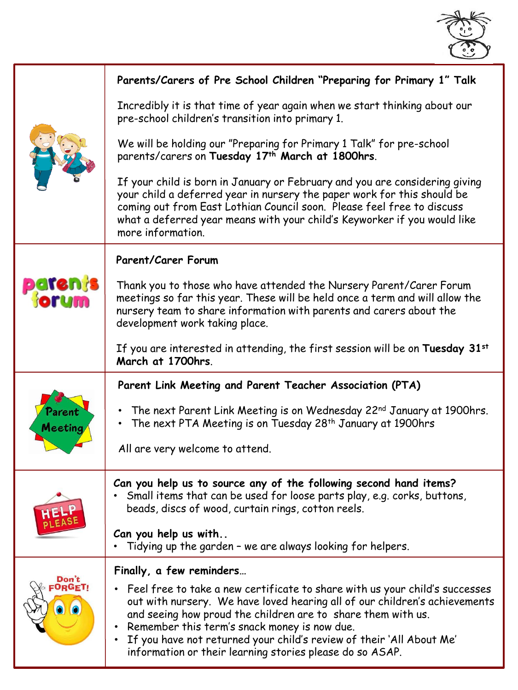

|                               | Parents/Carers of Pre School Children "Preparing for Primary 1" Talk                                                                                                                                                                                                                                                                                                                                                                                 |
|-------------------------------|------------------------------------------------------------------------------------------------------------------------------------------------------------------------------------------------------------------------------------------------------------------------------------------------------------------------------------------------------------------------------------------------------------------------------------------------------|
|                               | Incredibly it is that time of year again when we start thinking about our<br>pre-school children's transition into primary 1.                                                                                                                                                                                                                                                                                                                        |
|                               | We will be holding our "Preparing for Primary 1 Talk" for pre-school<br>parents/carers on Tuesday 17th March at 1800hrs.                                                                                                                                                                                                                                                                                                                             |
|                               | If your child is born in January or February and you are considering giving<br>your child a deferred year in nursery the paper work for this should be<br>coming out from East Lothian Council soon. Please feel free to discuss<br>what a deferred year means with your child's Keyworker if you would like<br>more information.                                                                                                                    |
| <b>patenjs<br/>Horum</b>      | <b>Parent/Carer Forum</b>                                                                                                                                                                                                                                                                                                                                                                                                                            |
|                               | Thank you to those who have attended the Nursery Parent/Carer Forum<br>meetings so far this year. These will be held once a term and will allow the<br>nursery team to share information with parents and carers about the<br>development work taking place.                                                                                                                                                                                         |
|                               | If you are interested in attending, the first session will be on Tuesday 31 <sup>st</sup><br>March at 1700hrs.                                                                                                                                                                                                                                                                                                                                       |
| Parent<br>Meeting             | Parent Link Meeting and Parent Teacher Association (PTA)                                                                                                                                                                                                                                                                                                                                                                                             |
|                               | • The next Parent Link Meeting is on Wednesday 22nd January at 1900hrs.<br>• The next PTA Meeting is on Tuesday 28 <sup>th</sup> January at 1900hrs                                                                                                                                                                                                                                                                                                  |
|                               | All are very welcome to attend.                                                                                                                                                                                                                                                                                                                                                                                                                      |
|                               | Can you help us to source any of the following second hand items?<br>Small items that can be used for loose parts play, e.g. corks, buttons,<br>beads, discs of wood, curtain rings, cotton reels.                                                                                                                                                                                                                                                   |
|                               | Can you help us with<br>Tidying up the garden - we are always looking for helpers.                                                                                                                                                                                                                                                                                                                                                                   |
| Don't<br>:O <sub>R</sub> GET! | Finally, a few reminders                                                                                                                                                                                                                                                                                                                                                                                                                             |
|                               | Feel free to take a new certificate to share with us your child's successes<br>$\bullet$<br>out with nursery. We have loved hearing all of our children's achievements<br>and seeing how proud the children are to share them with us.<br>Remember this term's snack money is now due.<br>$\bullet$<br>If you have not returned your child's review of their 'All About Me'<br>$\bullet$<br>information or their learning stories please do so ASAP. |